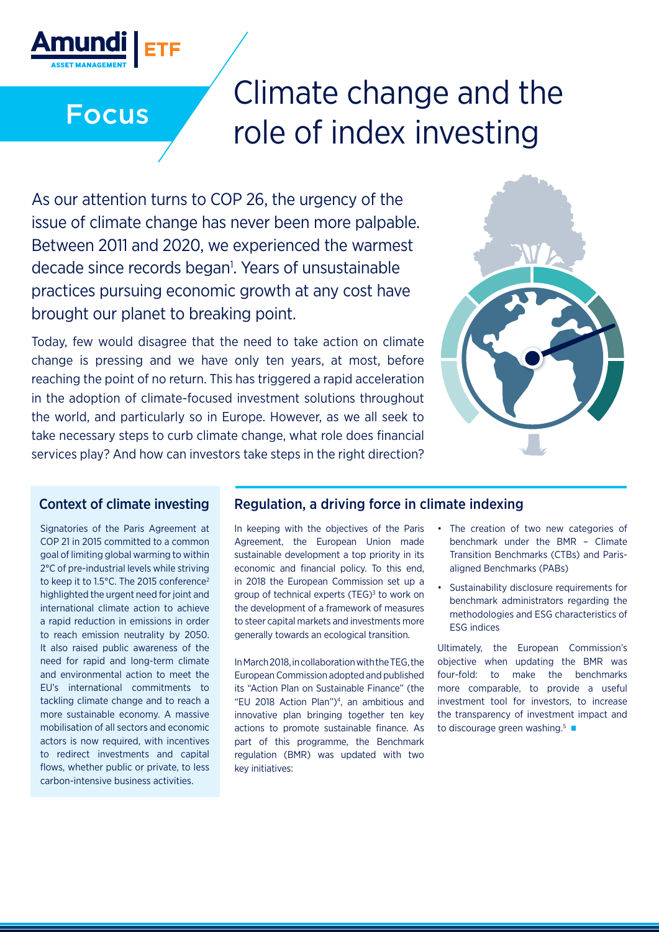

# Climate change and the Focus role of index investing

As our attention turns to COP 26, the urgency of the issue of climate change has never been more palpable. Between 2011 and 2020, we experienced the warmest decade since records began<sup>1</sup>. Years of unsustainable practices pursuing economic growth at any cost have brought our planet to breaking point.

Today, few would disagree that the need to take action on climate change is pressing and we have only ten years, at most, before reaching the point of no return. This has triggered a rapid acceleration in the adoption of climate-focused investment solutions throughout the world, and particularly so in Europe. However, as we all seek to take necessary steps to curb climate change, what role does financial services play? And how can investors take steps in the right direction?



Signatories of the Paris Agreement at COP 21 in 2015 committed to a common goal of limiting global warming to within 2°C of pre-industrial levels while striving to keep it to 1.5°C. The 2015 conference<sup>2</sup> highlighted the urgent need for joint and international climate action to achieve a rapid reduction in emissions in order to reach emission neutrality by 2050. It also raised public awareness of the need for rapid and long-term climate and environmental action to meet the EU's international commitments to tackling climate change and to reach a more sustainable economy. A massive mobilisation of all sectors and economic actors is now required, with incentives to redirect investments and capital flows, whether public or private, to less carbon-intensive business activities.

### Context of climate investing Regulation, a driving force in climate indexing

In keeping with the objectives of the Paris Agreement, the European Union made sustainable development a top priority in its economic and financial policy. To this end, in 2018 the European Commission set up a group of technical experts (TEG)<sup>3</sup> to work on the development of a framework of measures to steer capital markets and investments more generally towards an ecological transition.

In March 2018, in collaboration with the TEG, the European Commission adopted and published its "Action Plan on Sustainable Finance" (the "EU 2018 Action Plan")4 , an ambitious and innovative plan bringing together ten key actions to promote sustainable finance. As part of this programme, the Benchmark regulation (BMR) was updated with two key initiatives:

- The creation of two new categories of benchmark under the BMR – Climate Transition Benchmarks (CTBs) and Parisaligned Benchmarks (PABs)
- Sustainability disclosure requirements for benchmark administrators regarding the methodologies and ESG characteristics of ESG indices

Ultimately, the European Commission's objective when updating the BMR was four-fold: to make the benchmarks more comparable, to provide a useful investment tool for investors, to increase the transparency of investment impact and to discourage green washing.<sup>5</sup>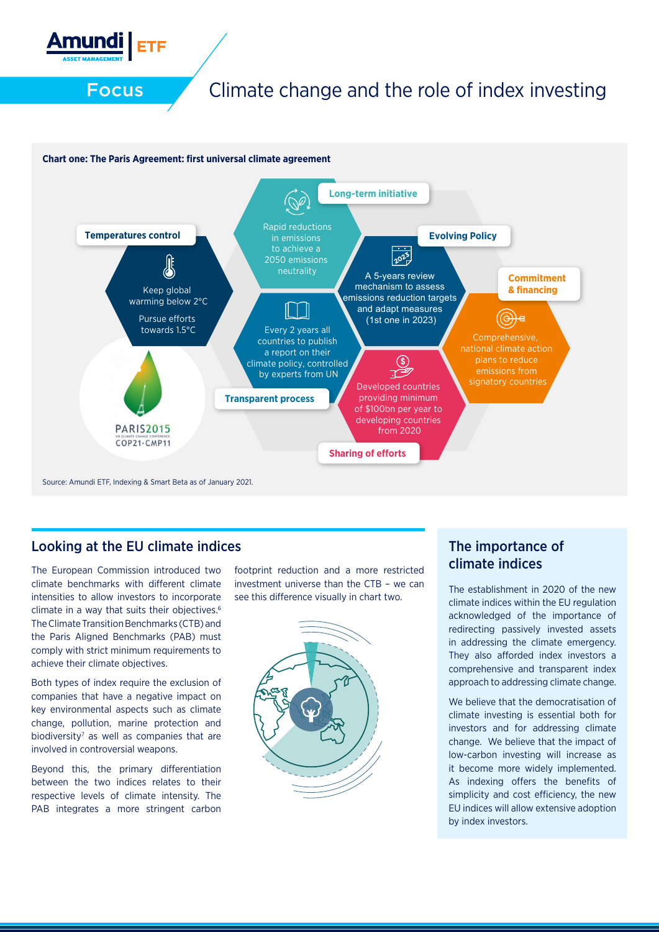

#### **Chart one: The Paris Agreement: first universal climate agreement**



Source: Amundi ETF, Indexing & Smart Beta as of January 2021.

#### Looking at the EU climate indices

The European Commission introduced two climate benchmarks with different climate intensities to allow investors to incorporate climate in a way that suits their objectives.6 The Climate Transition Benchmarks (CTB) and the Paris Aligned Benchmarks (PAB) must comply with strict minimum requirements to achieve their climate objectives.

Both types of index require the exclusion of companies that have a negative impact on key environmental aspects such as climate change, pollution, marine protection and biodiversity<sup>7</sup> as well as companies that are involved in controversial weapons.

Beyond this, the primary differentiation between the two indices relates to their respective levels of climate intensity. The PAB integrates a more stringent carbon

footprint reduction and a more restricted investment universe than the CTB – we can see this difference visually in chart two.



### The importance of climate indices

The establishment in 2020 of the new climate indices within the EU regulation acknowledged of the importance of redirecting passively invested assets in addressing the climate emergency. They also afforded index investors a comprehensive and transparent index approach to addressing climate change.

We believe that the democratisation of climate investing is essential both for investors and for addressing climate change. We believe that the impact of low-carbon investing will increase as it become more widely implemented. As indexing offers the benefits of simplicity and cost efficiency, the new EU indices will allow extensive adoption by index investors.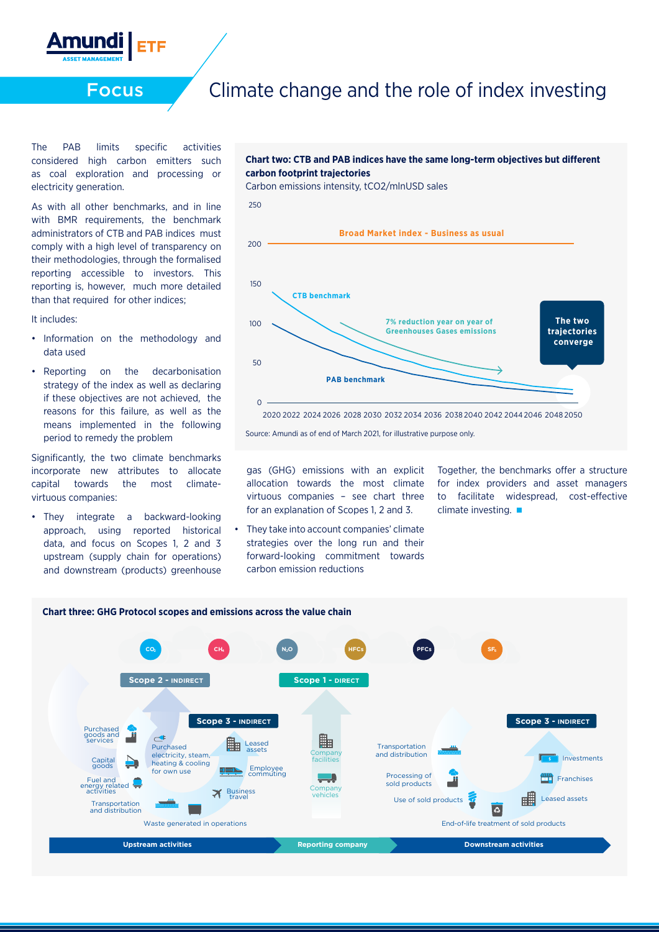

The PAB limits specific activities considered high carbon emitters such as coal exploration and processing or electricity generation.

As with all other benchmarks, and in line with BMR requirements, the benchmark administrators of CTB and PAB indices must comply with a high level of transparency on their methodologies, through the formalised reporting accessible to investors. This reporting is, however, much more detailed than that required for other indices;

#### It includes:

- Information on the methodology and data used
- Reporting on the decarbonisation strategy of the index as well as declaring if these objectives are not achieved, the reasons for this failure, as well as the means implemented in the following period to remedy the problem

Significantly, the two climate benchmarks incorporate new attributes to allocate capital towards the most climatevirtuous companies:

• They integrate a backward-looking approach, using reported historical data, and focus on Scopes 1, 2 and 3 upstream (supply chain for operations) and downstream (products) greenhouse





Source: Amundi as of end of March 2021, for illustrative purpose only.

gas (GHG) emissions with an explicit allocation towards the most climate virtuous companies – see chart three for an explanation of Scopes 1, 2 and 3.

• They take into account companies' climate strategies over the long run and their forward-looking commitment towards carbon emission reductions

Together, the benchmarks offer a structure for index providers and asset managers to facilitate widespread, cost-effective climate investing. ■

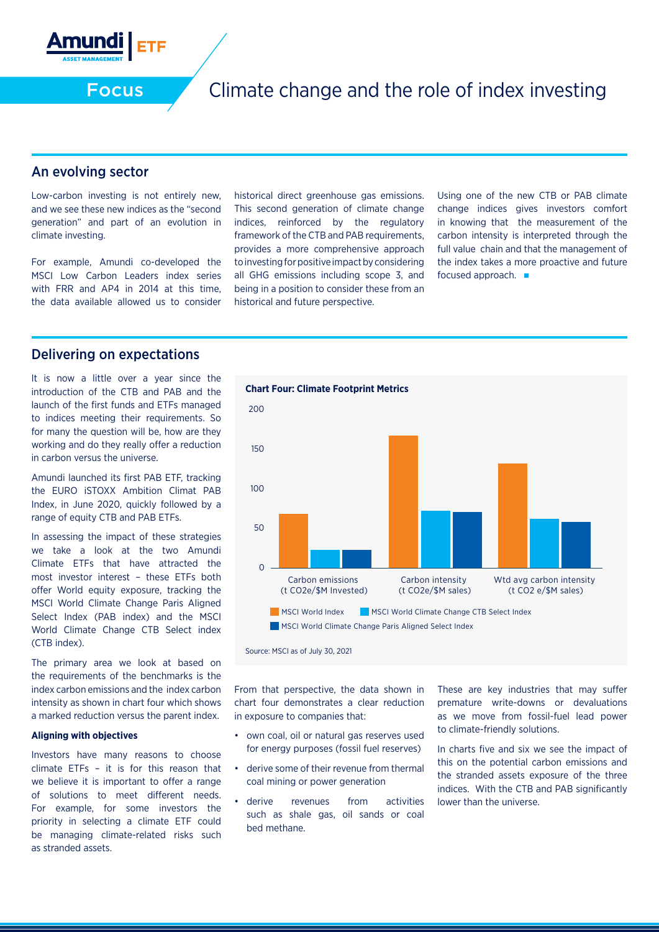

#### An evolving sector

Low-carbon investing is not entirely new, and we see these new indices as the "second generation" and part of an evolution in climate investing.

For example, Amundi co-developed the MSCI Low Carbon Leaders index series with FRR and AP4 in 2014 at this time, the data available allowed us to consider historical direct greenhouse gas emissions. This second generation of climate change indices, reinforced by the regulatory framework of the CTB and PAB requirements, provides a more comprehensive approach to investing for positive impact by considering all GHG emissions including scope 3, and being in a position to consider these from an historical and future perspective.

Using one of the new CTB or PAB climate change indices gives investors comfort in knowing that the measurement of the carbon intensity is interpreted through the full value chain and that the management of the index takes a more proactive and future focused approach.

#### Delivering on expectations

It is now a little over a year since the introduction of the CTB and PAB and the launch of the first funds and ETFs managed to indices meeting their requirements. So for many the question will be, how are they working and do they really offer a reduction in carbon versus the universe.

Amundi launched its first PAB ETF, tracking the EURO iSTOXX Ambition Climat PAB Index, in June 2020, quickly followed by a range of equity CTB and PAB ETFs.

In assessing the impact of these strategies we take a look at the two Amundi Climate ETFs that have attracted the most investor interest – these ETFs both offer World equity exposure, tracking the MSCI World Climate Change Paris Aligned Select Index (PAB index) and the MSCI World Climate Change CTB Select index (CTB index).

The primary area we look at based on the requirements of the benchmarks is the index carbon emissions and the index carbon intensity as shown in chart four which shows a marked reduction versus the parent index.

#### **Aligning with objectives**

Investors have many reasons to choose climate ETFs – it is for this reason that we believe it is important to offer a range of solutions to meet different needs. For example, for some investors the priority in selecting a climate ETF could be managing climate-related risks such as stranded assets.



Source: MSCI as of July 30, 2021

From that perspective, the data shown in chart four demonstrates a clear reduction in exposure to companies that:

- own coal, oil or natural gas reserves used for energy purposes (fossil fuel reserves)
- derive some of their revenue from thermal coal mining or power generation
- derive revenues from activities such as shale gas, oil sands or coal bed methane.

These are key industries that may suffer premature write-downs or devaluations as we move from fossil-fuel lead power to climate-friendly solutions.

In charts five and six we see the impact of this on the potential carbon emissions and the stranded assets exposure of the three indices. With the CTB and PAB significantly lower than the universe.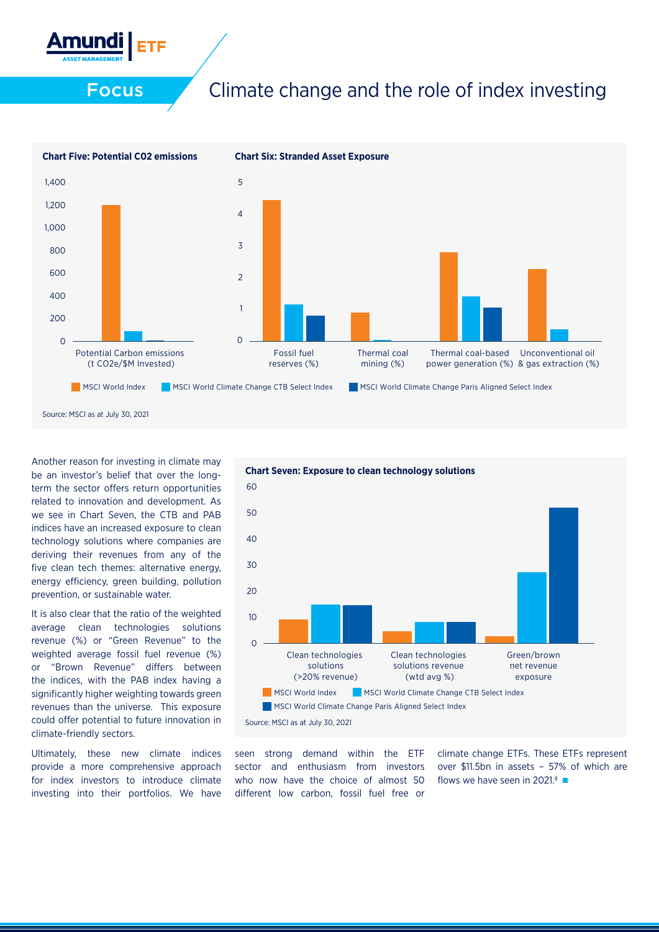



Another reason for investing in climate may be an investor's belief that over the longterm the sector offers return opportunities related to innovation and development. As we see in Chart Seven, the CTB and PAB indices have an increased exposure to clean technology solutions where companies are deriving their revenues from any of the five clean tech themes: alternative energy, energy efficiency, green building, pollution prevention, or sustainable water.

It is also clear that the ratio of the weighted average clean technologies solutions revenue (%) or "Green Revenue" to the weighted average fossil fuel revenue (%) or "Brown Revenue" differs between the indices, with the PAB index having a significantly higher weighting towards green revenues than the universe. This exposure could offer potential to future innovation in climate-friendly sectors.

Ultimately, these new climate indices provide a more comprehensive approach for index investors to introduce climate investing into their portfolios. We have



seen strong demand within the ETF sector and enthusiasm from investors who now have the choice of almost 50 different low carbon, fossil fuel free or

climate change ETFs. These ETFs represent over \$11.5bn in assets – 57% of which are flows we have seen in 2021.<sup>8</sup>